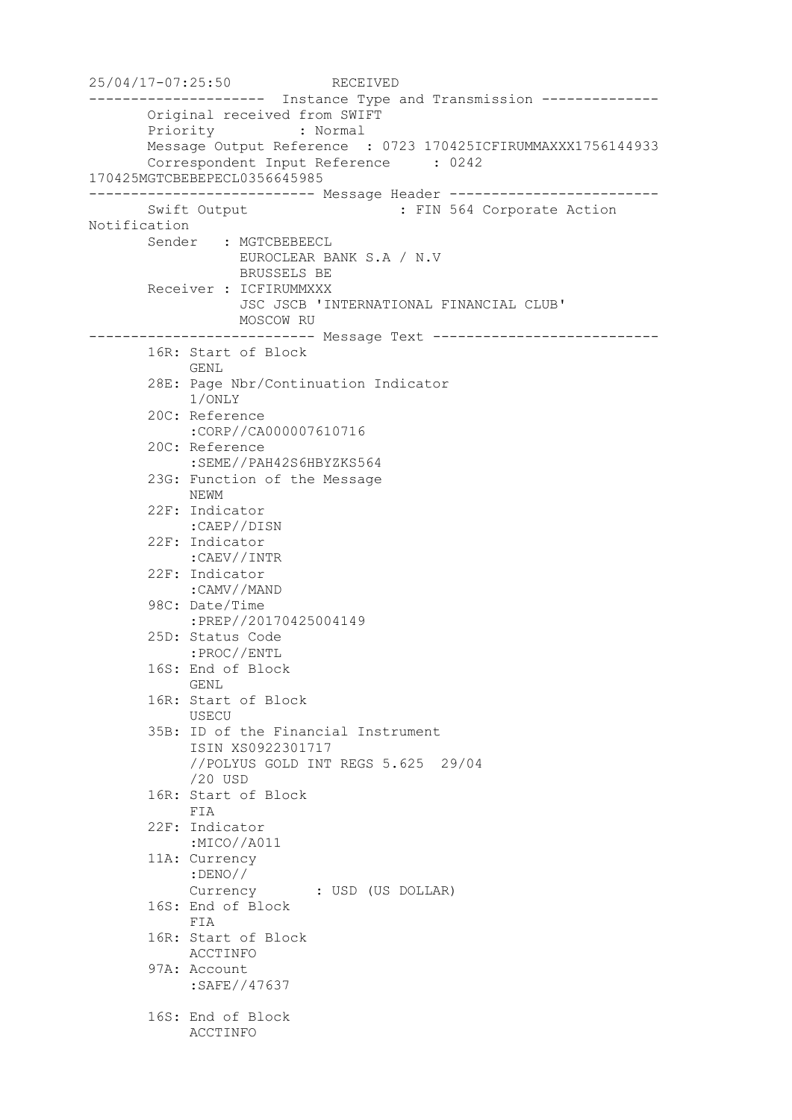25/04/17-07:25:50 RECEIVED --------------------- Instance Type and Transmission -------------- Original received from SWIFT Priority : Normal Message Output Reference : 0723 170425ICFIRUMMAXXX1756144933 Correspondent Input Reference : 0242 170425MGTCBEBEPECL0356645985 --------------------------- Message Header ------------------------- Swift Output : FIN 564 Corporate Action Notification Sender : MGTCBEBEECL EUROCLEAR BANK S.A / N.V BRUSSELS BE Receiver : ICFIRUMMXXX JSC JSCB 'INTERNATIONAL FINANCIAL CLUB' MOSCOW RU --------------------------- Message Text --------------------------- 16R: Start of Block GENL 28E: Page Nbr/Continuation Indicator 1/ONLY 20C: Reference :CORP//CA000007610716 20C: Reference :SEME//PAH42S6HBYZKS564 23G: Function of the Message NEWM 22F: Indicator :CAEP//DISN 22F: Indicator :CAEV//INTR 22F: Indicator :CAMV//MAND 98C: Date/Time :PREP//20170425004149 25D: Status Code :PROC//ENTL 16S: End of Block GENL 16R: Start of Block USECU 35B: ID of the Financial Instrument ISIN XS0922301717 //POLYUS GOLD INT REGS 5.625 29/04 /20 USD 16R: Start of Block FIA 22F: Indicator :MICO//A011 11A: Currency :DENO// Currency : USD (US DOLLAR) 16S: End of Block FIA 16R: Start of Block ACCTINFO 97A: Account :SAFE//47637 16S: End of Block ACCTINFO